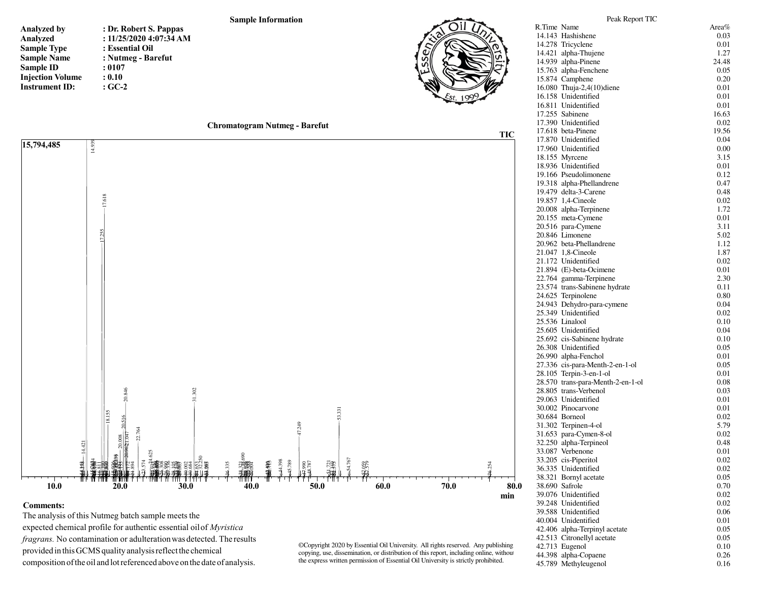## **Sample Information**

| <b>Analyzed by</b>      |  |
|-------------------------|--|
| Analyzed                |  |
| <b>Sample Type</b>      |  |
| <b>Sample Name</b>      |  |
| Sample ID               |  |
| <b>Injection Volume</b> |  |
| <b>Instrument ID:</b>   |  |

**: Dr. Robert S. Pappas : 11/25/2020 4:07:34 AM: Essential Oil : Nutmeg - Barefut: 0107 : 0.10: GC-2**





## **Comments:**

 The analysis of this Nutmeg batch sample meets the expected chemical profile for authentic essential oil of *Myristica fragrans.* No contamination or adulteration was detected. The results provided in this GCMS quality analysis reflect the chemical composition of the oil and lot referenced above on the date of analysis.

©Copyright 2020 by Essential Oil University. All rights reserved. Any publishing, copying, use, dissemination, or distribution of this report, including online, without the express written permission of Essential Oil University is strictly prohibited.

| 14.143 Hashishene                       | 0.03  |
|-----------------------------------------|-------|
| 14.278 Tricyclene                       | 0.01  |
| 14.421 alpha-Thujene                    | 1.27  |
| 14.939 alpha-Pinene                     | 24.48 |
| 15.763 alpha-Fenchene                   | 0.05  |
| 15.874 Camphene                         | 0.20  |
| 16.080 Thuja-2,4(10)diene               | 0.01  |
| 16.158 Unidentified                     | 0.01  |
| 16.811 Unidentified                     | 0.01  |
| 17.255 Sabinene                         | 16.63 |
| 17.390 Unidentified                     | 0.02  |
| 17.618 beta-Pinene                      | 19.56 |
| 17.870 Unidentified                     | 0.04  |
| 17.960 Unidentified                     | 0.00  |
| 18.155 Myrcene                          | 3.15  |
| 18.936 Unidentified                     | 0.01  |
| 19.166 Pseudolimonene                   | 0.12  |
| 19.318 alpha-Phellandrene               | 0.47  |
| 19.479 delta-3-Carene                   | 0.48  |
| 19.857 1,4-Cineole                      | 0.02  |
| 20.008 alpha-Terpinene                  | 1.72  |
| 20.155 meta-Cymene                      | 0.01  |
| 20.516 para-Cymene                      | 3.11  |
| 20.846 Limonene                         |       |
|                                         | 5.02  |
| 20.962 beta-Phellandrene                | 1.12  |
| 21.047 1,8-Cineole                      | 1.87  |
| 21.172 Unidentified                     | 0.02  |
| 21.894 (E)-beta-Ocimene                 | 0.01  |
| 22.764 gamma-Terpinene                  | 2.30  |
| 23.574 trans-Sabinene hydrate           | 0.11  |
| 24.625 Terpinolene                      | 0.80  |
| 24.943 Dehydro-para-cymene              | 0.04  |
| 25.349 Unidentified                     | 0.02  |
| 25.536 Linalool                         | 0.10  |
| 25.605 Unidentified                     | 0.04  |
| 25.692 cis-Sabinene hydrate             | 0.10  |
| 26.308 Unidentified                     | 0.05  |
| 26.990 alpha-Fenchol                    | 0.01  |
| 27.336 cis-para-Menth-2-en-1-ol         | 0.05  |
| 28.105 Terpin-3-en-1-ol                 | 0.01  |
| 28.570 trans-para-Menth-2-en-1-ol       | 0.08  |
| 28.805 trans-Verbenol                   | 0.03  |
| 29.063 Unidentified                     | 0.01  |
| 30.002 Pinocarvone                      | 0.01  |
| 30.684 Borneol                          | 0.02  |
| 31.302 Terpinen-4-ol                    | 5.79  |
| 31.653 para-Cymen-8-ol                  | 0.02  |
| 32.250 alpha-Terpineol                  | 0.48  |
| 33.087 Verbenone                        | 0.01  |
| 33.205 cis-Piperitol                    | 0.02  |
| 36.335 Unidentified                     | 0.02  |
|                                         |       |
| 38.321 Bornyl acetate<br>38.690 Safrole | 0.05  |
|                                         | 0.70  |
| 39.076 Unidentified                     | 0.02  |
| 39.248 Unidentified                     | 0.02  |
| 39.588 Unidentified                     | 0.06  |
| 40.004 Unidentified                     | 0.01  |
| 42.406 alpha-Terpinyl acetate           | 0.05  |
| 42.513 Citronellyl acetate              | 0.05  |
| 42.713 Eugenol                          | 0.10  |
| 44.398 alpha-Copaene                    | 0.26  |
| 45.789 Methyleugenol                    | 0.16  |

Peak Report TICR.Time Name Area%